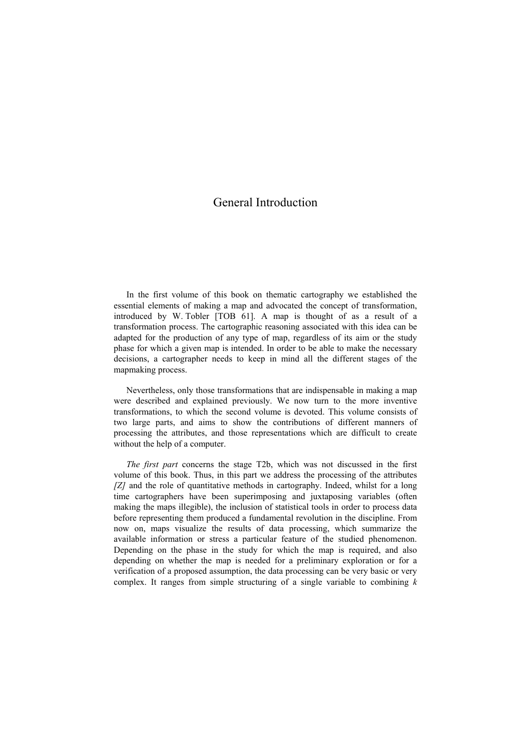## General Introduction

In the first volume of this book on thematic cartography we established the essential elements of making a map and advocated the concept of transformation, introduced by W. Tobler [TOB 61]. A map is thought of as a result of a transformation process. The cartographic reasoning associated with this idea can be adapted for the production of any type of map, regardless of its aim or the study phase for which a given map is intended. In order to be able to make the necessary decisions, a cartographer needs to keep in mind all the different stages of the mapmaking process.

Nevertheless, only those transformations that are indispensable in making a map were described and explained previously. We now turn to the more inventive transformations, to which the second volume is devoted. This volume consists of two large parts, and aims to show the contributions of different manners of processing the attributes, and those representations which are difficult to create without the help of a computer.

*The first part* concerns the stage T2b, which was not discussed in the first volume of this book. Thus, in this part we address the processing of the attributes *[Z]* and the role of quantitative methods in cartography. Indeed, whilst for a long time cartographers have been superimposing and juxtaposing variables (often making the maps illegible), the inclusion of statistical tools in order to process data before representing them produced a fundamental revolution in the discipline. From now on, maps visualize the results of data processing, which summarize the available information or stress a particular feature of the studied phenomenon. Depending on the phase in the study for which the map is required, and also depending on whether the map is needed for a preliminary exploration or for a verification of a proposed assumption, the data processing can be very basic or very complex. It ranges from simple structuring of a single variable to combining *k*